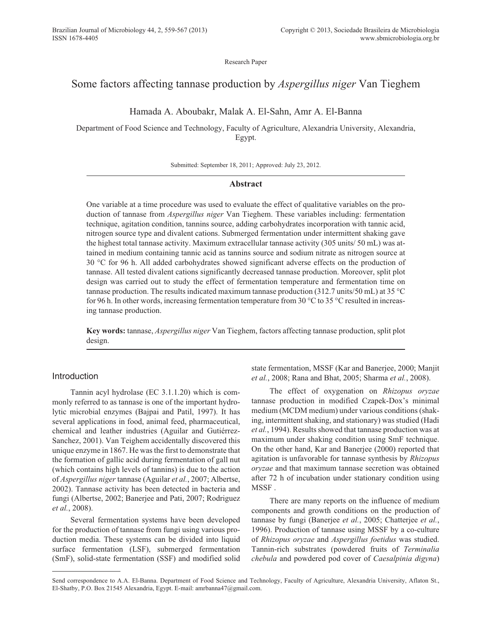Research Paper

# Some factors affecting tannase production by *Aspergillus niger* Van Tieghem

Hamada A. Aboubakr, Malak A. El-Sahn, Amr A. El-Banna

Department of Food Science and Technology, Faculty of Agriculture, Alexandria University, Alexandria, Egypt.

Submitted: September 18, 2011; Approved: July 23, 2012.

## **Abstract**

One variable at a time procedure was used to evaluate the effect of qualitative variables on the production of tannase from *Aspergillus niger* Van Tieghem. These variables including: fermentation technique, agitation condition, tannins source, adding carbohydrates incorporation with tannic acid, nitrogen source type and divalent cations. Submerged fermentation under intermittent shaking gave the highest total tannase activity. Maximum extracellular tannase activity (305 units/ 50 mL) was attained in medium containing tannic acid as tannins source and sodium nitrate as nitrogen source at 30 °C for 96 h. All added carbohydrates showed significant adverse effects on the production of tannase. All tested divalent cations significantly decreased tannase production. Moreover, split plot design was carried out to study the effect of fermentation temperature and fermentation time on tannase production. The results indicated maximum tannase production (312.7 units/50 mL) at 35 °C for 96 h. In other words, increasing fermentation temperature from 30 °C to 35 °C resulted in increasing tannase production.

**Key words:** tannase, *Aspergillus niger* Van Tieghem, factors affecting tannase production, split plot design.

# Introduction

Tannin acyl hydrolase (EC 3.1.1.20) which is commonly referred to as tannase is one of the important hydrolytic microbial enzymes (Bajpai and Patil, 1997). It has several applications in food, animal feed, pharmaceutical, chemical and leather industries (Aguilar and Gutiérrez-Sanchez, 2001). Van Teighem accidentally discovered this unique enzyme in 1867. He was the first to demonstrate that the formation of gallic acid during fermentation of gall nut (which contains high levels of tannins) is due to the action of *Aspergillus niger* tannase (Aguilar *et al.*, 2007; Albertse, 2002). Tannase activity has been detected in bacteria and fungi (Albertse, 2002; Banerjee and Pati, 2007; Rodriguez *et al.*, 2008).

Several fermentation systems have been developed for the production of tannase from fungi using various production media. These systems can be divided into liquid surface fermentation (LSF), submerged fermentation (SmF), solid-state fermentation (SSF) and modified solid state fermentation, MSSF (Kar and Banerjee, 2000; Manjit *et al.*, 2008; Rana and Bhat, 2005; Sharma *et al.*, 2008).

The effect of oxygenation on *Rhizopus oryzae* tannase production in modified Czapek-Dox's minimal medium (MCDM medium) under various conditions (shaking, intermittent shaking, and stationary) was studied (Hadi *et al.*, 1994). Results showed that tannase production was at maximum under shaking condition using SmF technique. On the other hand, Kar and Banerjee (2000) reported that agitation is unfavorable for tannase synthesis by *Rhizopus oryzae* and that maximum tannase secretion was obtained after 72 h of incubation under stationary condition using MSSF .

There are many reports on the influence of medium components and growth conditions on the production of tannase by fungi (Banerjee *et al.*, 2005; Chatterjee *et al.*, 1996). Production of tannase using MSSF by a co-culture of *Rhizopus oryzae* and *Aspergillus foetidus* was studied. Tannin-rich substrates (powdered fruits of *Terminalia chebula* and powdered pod cover of *Caesalpinia digyna*)

Send correspondence to A.A. El-Banna. Department of Food Science and Technology, Faculty of Agriculture, Alexandria University, Aflaton St., El-Shatby, P.O. Box 21545 Alexandria, Egypt. E-mail: amrbanna47@gmail.com.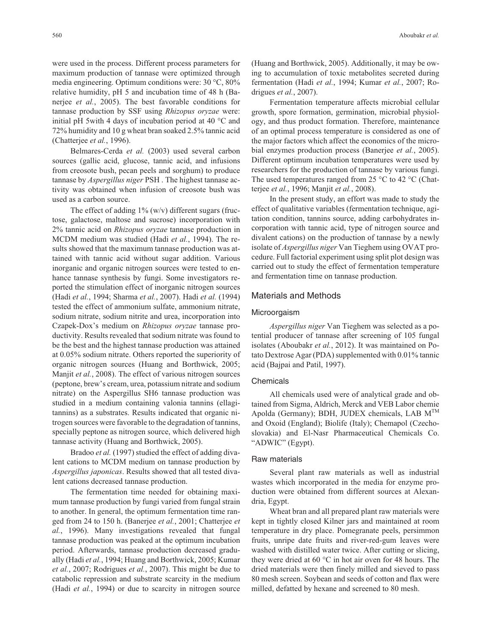were used in the process. Different process parameters for maximum production of tannase were optimized through media engineering. Optimum conditions were: 30 °C, 80% relative humidity, pH 5 and incubation time of 48 h (Banerjee *et al.*, 2005). The best favorable conditions for tannase production by SSF using *Rhizopus oryzae* were: initial pH 5with 4 days of incubation period at 40 °C and 72% humidity and 10 g wheat bran soaked 2.5% tannic acid (Chatterjee *et al.*, 1996).

Belmares-Cerda *et al.* (2003) used several carbon sources (gallic acid, glucose, tannic acid, and infusions from creosote bush, pecan peels and sorghum) to produce tannase by *Aspergillus niger* PSH . The highest tannase activity was obtained when infusion of creosote bush was used as a carbon source.

The effect of adding  $1\%$  (w/v) different sugars (fructose, galactose, maltose and sucrose) incorporation with 2% tannic acid on *Rhizopus oryzae* tannase production in MCDM medium was studied (Hadi *et al.*, 1994). The results showed that the maximum tannase production was attained with tannic acid without sugar addition. Various inorganic and organic nitrogen sources were tested to enhance tannase synthesis by fungi. Some investigators reported the stimulation effect of inorganic nitrogen sources (Hadi *et al.*, 1994; Sharma *et al.*, 2007). Hadi *et al.* (1994) tested the effect of ammonium sulfate, ammonium nitrate, sodium nitrate, sodium nitrite and urea, incorporation into Czapek-Dox's medium on *Rhizopus oryzae* tannase productivity. Results revealed that sodium nitrate was found to be the best and the highest tannase production was attained at 0.05% sodium nitrate. Others reported the superiority of organic nitrogen sources (Huang and Borthwick, 2005; Manjit *et al.*, 2008). The effect of various nitrogen sources (peptone, brew's cream, urea, potassium nitrate and sodium nitrate) on the Aspergillus SH6 tannase production was studied in a medium containing valonia tannins (ellagitannins) as a substrates. Results indicated that organic nitrogen sources were favorable to the degradation of tannins, specially peptone as nitrogen source, which delivered high tannase activity (Huang and Borthwick, 2005).

Bradoo *et al.* (1997) studied the effect of adding divalent cations to MCDM medium on tannase production by *Aspergillus japonicas*. Results showed that all tested divalent cations decreased tannase production.

The fermentation time needed for obtaining maximum tannase production by fungi varied from fungal strain to another. In general, the optimum fermentation time ranged from 24 to 150 h. (Banerjee *et al.*, 2001; Chatterjee *et al.*, 1996). Many investigations revealed that fungal tannase production was peaked at the optimum incubation period. Afterwards, tannase production decreased gradually (Hadi *et al.*, 1994; Huang and Borthwick, 2005; Kumar *et al.*, 2007; Rodrigues *et al.*, 2007). This might be due to catabolic repression and substrate scarcity in the medium (Hadi *et al.*, 1994) or due to scarcity in nitrogen source

(Huang and Borthwick, 2005). Additionally, it may be owing to accumulation of toxic metabolites secreted during fermentation (Hadi *et al.*, 1994; Kumar *et al.*, 2007; Rodrigues *et al.*, 2007).

Fermentation temperature affects microbial cellular growth, spore formation, germination, microbial physiology, and thus product formation. Therefore, maintenance of an optimal process temperature is considered as one of the major factors which affect the economics of the microbial enzymes production process (Banerjee *et al.*, 2005). Different optimum incubation temperatures were used by researchers for the production of tannase by various fungi. The used temperatures ranged from 25 °C to 42 °C (Chatterjee *et al.*, 1996; Manjit *et al.*, 2008).

In the present study, an effort was made to study the effect of qualitative variables (fermentation technique, agitation condition, tannins source, adding carbohydrates incorporation with tannic acid, type of nitrogen source and divalent cations) on the production of tannase by a newly isolate of *Aspergillus niger* Van Tieghem using OVAT procedure. Full factorial experiment using split plot design was carried out to study the effect of fermentation temperature and fermentation time on tannase production.

# Materials and Methods

#### Microorgaism

*Aspergillus niger* Van Tieghem was selected as a potential producer of tannase after screening of 105 fungal isolates (Aboubakr *et al.*, 2012). It was maintained on Potato Dextrose Agar (PDA) supplemented with 0.01% tannic acid (Bajpai and Patil, 1997).

#### **Chemicals**

All chemicals used were of analytical grade and obtained from Sigma, Aldrich, Merck and VEB Labor chemie Apolda (Germany); BDH, JUDEX chemicals, LAB  $M^{TM}$ and Oxoid (England); Biolife (Italy); Chemapol (Czechoslovakia) and El-Nasr Pharmaceutical Chemicals Co. "ADWIC" (Egypt).

#### Raw materials

Several plant raw materials as well as industrial wastes which incorporated in the media for enzyme production were obtained from different sources at Alexandria, Egypt.

Wheat bran and all prepared plant raw materials were kept in tightly closed Kilner jars and maintained at room temperature in dry place. Pomegranate peels, persimmon fruits, unripe date fruits and river-red-gum leaves were washed with distilled water twice. After cutting or slicing, they were dried at 60 °C in hot air oven for 48 hours. The dried materials were then finely milled and sieved to pass 80 mesh screen. Soybean and seeds of cotton and flax were milled, defatted by hexane and screened to 80 mesh.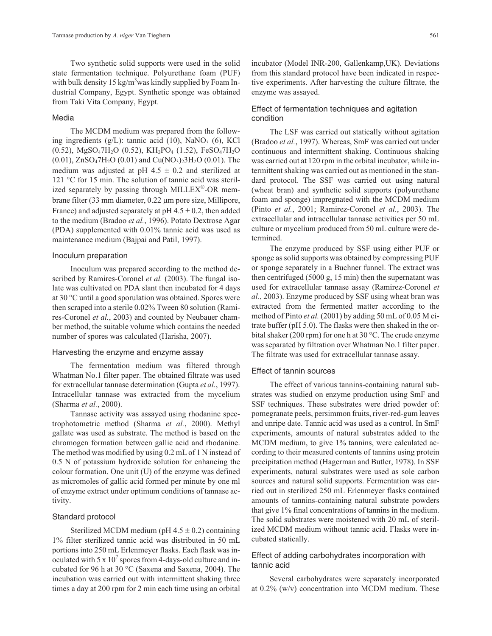Two synthetic solid supports were used in the solid state fermentation technique. Polyurethane foam (PUF) with bulk density 15 kg/m<sup>3</sup>was kindly supplied by Foam Industrial Company, Egypt. Synthetic sponge was obtained from Taki Vita Company, Egypt.

## Media

The MCDM medium was prepared from the following ingredients  $(g/L)$ : tannic acid  $(10)$ , NaNO<sub>3</sub>  $(6)$ , KCl (0.52), MgSO47H2O (0.52), KH2PO4 (1.52), FeSO47H2O  $(0.01)$ , ZnSO<sub>4</sub>7H<sub>2</sub>O  $(0.01)$  and Cu(NO<sub>3</sub>)<sub>2</sub>3H<sub>2</sub>O  $(0.01)$ . The medium was adjusted at pH 4.5  $\pm$  0.2 and sterilized at 121 °C for 15 min. The solution of tannic acid was sterilized separately by passing through MILLEX $^{\circledR}$ -OR membrane filter  $(33 \text{ mm diameter}, 0.22 \text{ µm pore size},$  Millipore, France) and adjusted separately at  $pH$  4.5  $\pm$  0.2, then added to the medium (Bradoo *et al.*, 1996). Potato Dextrose Agar (PDA) supplemented with 0.01% tannic acid was used as maintenance medium (Bajpai and Patil, 1997).

## Inoculum preparation

Inoculum was prepared according to the method described by Ramires-Coronel *et al.* (2003). The fungal isolate was cultivated on PDA slant then incubated for 4 days at 30 °C until a good sporulation was obtained. Spores were then scraped into a sterile 0.02% Tween 80 solution (Ramires-Coronel *et al.*, 2003) and counted by Neubauer chamber method, the suitable volume which contains the needed number of spores was calculated (Harisha, 2007).

#### Harvesting the enzyme and enzyme assay

The fermentation medium was filtered through Whatman No.1 filter paper. The obtained filtrate was used for extracellular tannase determination (Gupta *et al.*, 1997). Intracellular tannase was extracted from the mycelium (Sharma *et al.*, 2000).

Tannase activity was assayed using rhodanine spectrophotometric method (Sharma *et al.*, 2000). Methyl gallate was used as substrate. The method is based on the chromogen formation between gallic acid and rhodanine. The method was modified by using 0.2 mL of 1 N instead of 0.5 N of potassium hydroxide solution for enhancing the colour formation. One unit (U) of the enzyme was defined as micromoles of gallic acid formed per minute by one ml of enzyme extract under optimum conditions of tannase activity.

## Standard protocol

Sterilized MCDM medium (pH  $4.5 \pm 0.2$ ) containing 1% filter sterilized tannic acid was distributed in 50 mL portions into 250 mL Erlenmeyer flasks. Each flask was inoculated with 5 x  $10<sup>7</sup>$  spores from 4-days-old culture and incubated for 96 h at 30 °C (Saxena and Saxena, 2004). The incubation was carried out with intermittent shaking three times a day at 200 rpm for 2 min each time using an orbital incubator (Model INR-200, Gallenkamp,UK). Deviations from this standard protocol have been indicated in respective experiments. After harvesting the culture filtrate, the enzyme was assayed.

# Effect of fermentation techniques and agitation condition

The LSF was carried out statically without agitation (Bradoo *et al.*, 1997). Whereas, SmF was carried out under continuous and intermittent shaking. Continuous shaking was carried out at 120 rpm in the orbital incubator, while intermittent shaking was carried out as mentioned in the standard protocol. The SSF was carried out using natural (wheat bran) and synthetic solid supports (polyurethane foam and sponge) impregnated with the MCDM medium (Pinto *et al.*, 2001; Ramirez-Coronel *et al.*, 2003). The extracellular and intracellular tannase activities per 50 mL culture or mycelium produced from 50 mL culture were determined.

The enzyme produced by SSF using either PUF or sponge as solid supports was obtained by compressing PUF or sponge separately in a Buchner funnel. The extract was then centrifuged (5000 g, 15 min) then the supernatant was used for extracellular tannase assay (Ramirez-Coronel *et al.*, 2003). Enzyme produced by SSF using wheat bran was extracted from the fermented matter according to the method of Pinto *et al.* (2001) by adding 50 mL of 0.05 M citrate buffer (pH 5.0). The flasks were then shaked in the orbital shaker (200 rpm) for one h at 30 °C. The crude enzyme was separated by filtration over Whatman No.1 filter paper. The filtrate was used for extracellular tannase assay.

#### Effect of tannin sources

The effect of various tannins-containing natural substrates was studied on enzyme production using SmF and SSF techniques. These substrates were dried powder of: pomegranate peels, persimmon fruits, river-red-gum leaves and unripe date. Tannic acid was used as a control. In SmF experiments, amounts of natural substrates added to the MCDM medium, to give 1% tannins, were calculated according to their measured contents of tannins using protein precipitation method (Hagerman and Butler, 1978). In SSF experiments, natural substrates were used as sole carbon sources and natural solid supports. Fermentation was carried out in sterilized 250 mL Erlenmeyer flasks contained amounts of tannins-containing natural substrate powders that give 1% final concentrations of tannins in the medium. The solid substrates were moistened with 20 mL of sterilized MCDM medium without tannic acid. Flasks were incubated statically.

# Effect of adding carbohydrates incorporation with tannic acid

Several carbohydrates were separately incorporated at 0.2% (w/v) concentration into MCDM medium. These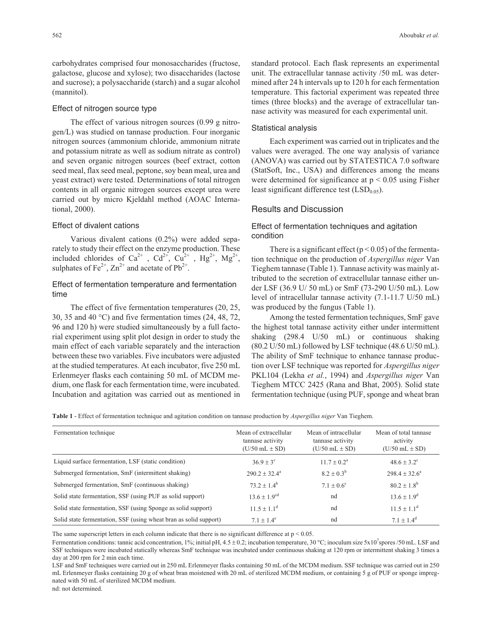## Effect of nitrogen source type

The effect of various nitrogen sources (0.99 g nitrogen/L) was studied on tannase production. Four inorganic nitrogen sources (ammonium chloride, ammonium nitrate and potassium nitrate as well as sodium nitrate as control) and seven organic nitrogen sources (beef extract, cotton seed meal, flax seed meal, peptone, soy bean meal, urea and yeast extract) were tested. Determinations of total nitrogen contents in all organic nitrogen sources except urea were carried out by micro Kjeldahl method (AOAC International, 2000).

# Effect of divalent cations

Various divalent cations (0.2%) were added separately to study their effect on the enzyme production. These included chlorides of Ca<sup>2+</sup>, Cd<sup>2+</sup>, Cu<sup>2+</sup>, Hg<sup>2+</sup>, Mg<sup>2+</sup>, sulphates of  $Fe^{2+}$ ,  $Zn^{2+}$  and acetate of  $Pb^{2+}$ .

# Effect of fermentation temperature and fermentation time

The effect of five fermentation temperatures (20, 25, 30, 35 and 40 °C) and five fermentation times (24, 48, 72, 96 and 120 h) were studied simultaneously by a full factorial experiment using split plot design in order to study the main effect of each variable separately and the interaction between these two variables. Five incubators were adjusted at the studied temperatures. At each incubator, five 250 mL Erlenmeyer flasks each containing 50 mL of MCDM medium, one flask for each fermentation time, were incubated. Incubation and agitation was carried out as mentioned in standard protocol. Each flask represents an experimental unit. The extracellular tannase activity /50 mL was determined after 24 h intervals up to 120 h for each fermentation temperature. This factorial experiment was repeated three times (three blocks) and the average of extracellular tannase activity was measured for each experimental unit.

#### Statistical analysis

Each experiment was carried out in triplicates and the values were averaged. The one way analysis of variance (ANOVA) was carried out by STATESTICA 7.0 software (StatSoft, Inc., USA) and differences among the means were determined for significance at  $p < 0.05$  using Fisher least significant difference test  $(LSD<sub>0.05</sub>)$ .

## Results and Discussion

# Effect of fermentation techniques and agitation condition

There is a significant effect ( $p < 0.05$ ) of the fermentation technique on the production of *Aspergillus niger* Van Tieghem tannase (Table 1). Tannase activity was mainly attributed to the secretion of extracellular tannase either under LSF (36.9 U/ 50 mL) or SmF (73-290 U/50 mL). Low level of intracellular tannase activity (7.1-11.7 U/50 mL) was produced by the fungus (Table 1).

Among the tested fermentation techniques, SmF gave the highest total tannase activity either under intermittent shaking (298.4 U/50 mL) or continuous shaking (80.2 U/50 mL) followed by LSF technique (48.6 U/50 mL). The ability of SmF technique to enhance tannase production over LSF technique was reported for *Aspergillus niger* PKL104 (Lekha *et al.*, 1994) and *Aspergillus niger* Van Tieghem MTCC 2425 (Rana and Bhat, 2005). Solid state fermentation technique (using PUF, sponge and wheat bran

**Table 1** - Effect of fermentation technique and agitation condition on tannase production by *Aspergillus niger* Van Tieghem.

| Fermentation technique                                            | Mean of extracellular<br>tannase activity<br>$(U/50$ mL $\pm$ SD) | Mean of intracellular<br>tannase activity<br>$(U/50$ mL $\pm$ SD) | Mean of total tannase<br>activity<br>$(U/50$ mL $\pm$ SD) |
|-------------------------------------------------------------------|-------------------------------------------------------------------|-------------------------------------------------------------------|-----------------------------------------------------------|
| Liquid surface fermentation, LSF (static condition)               | $36.9 + 3^{\circ}$                                                | $11.7 \pm 0.2^{\rm a}$                                            | $48.6 \pm 3.2$ <sup>c</sup>                               |
| Submerged fermentation, SmF (intermittent shaking)                | $290.2 \pm 32.4^{\circ}$                                          | $8.2 \pm 0.3^b$                                                   | $298.4 \pm 32.6^a$                                        |
| Submerged fermentation, SmF (continuous shaking)                  | $73.2 + 1.4^b$                                                    | $7.1 + 0.6^{\circ}$                                               | $80.2 \pm 1.8^{b}$                                        |
| Solid state fermentation, SSF (using PUF as solid support)        | $13.6 + 1.9^{cd}$                                                 | nd                                                                | $13.6 \pm 1.9^d$                                          |
| Solid state fermentation, SSF (using Sponge as solid support)     | $11.5 + 1.1d$                                                     | nd                                                                | $11.5 \pm 1.1^{\rm d}$                                    |
| Solid state fermentation, SSF (using wheat bran as solid support) | $7.1 + 1.4^{\circ}$                                               | nd                                                                | $7.1 + 1.4^d$                                             |

The same superscript letters in each column indicate that there is no significant difference at  $p < 0.05$ .

Fermentation conditions: tannic acid concentration, 1%; initial pH, 4.5  $\pm$  0.2; incubation temperature, 30 °C; inoculum size 5x10<sup>7</sup> spores /50 mL. LSF and SSF techniques were incubated statically whereas SmF technique was incubated under continuous shaking at 120 rpm or intermittent shaking 3 times a day at 200 rpm for 2 min each time.

LSF and SmF techniques were carried out in 250 mL Erlenmeyer flasks containing 50 mL of the MCDM medium. SSF technique was carried out in 250 mL Erlenmeyer flasks containing 20 g of wheat bran moistened with 20 mL of sterilized MCDM medium, or containing 5 g of PUF or sponge impregnated with 50 mL of sterilized MCDM medium.

nd: not determined.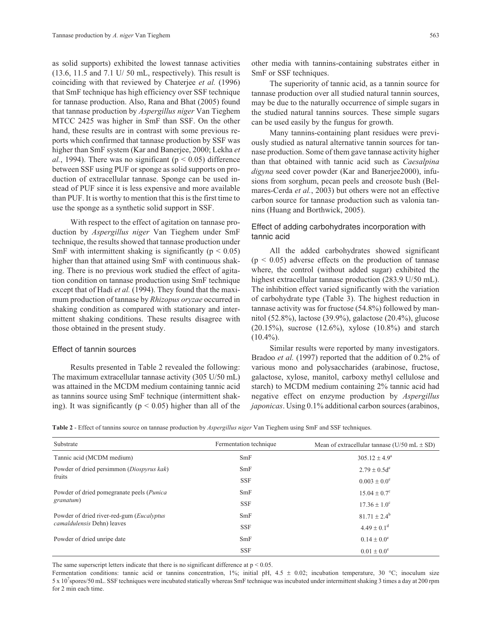as solid supports) exhibited the lowest tannase activities (13.6, 11.5 and 7.1 U/ 50 mL, respectively). This result is coinciding with that reviewed by Chaterjee *et al.* (1996) that SmF technique has high efficiency over SSF technique for tannase production. Also, Rana and Bhat (2005) found that tannase production by *Aspergillus niger* Van Tieghem MTCC 2425 was higher in SmF than SSF. On the other hand, these results are in contrast with some previous reports which confirmed that tannase production by SSF was higher than SmF system (Kar and Banerjee, 2000; Lekha *et al.*, 1994). There was no significant ( $p < 0.05$ ) difference between SSF using PUF or sponge as solid supports on production of extracellular tannase. Sponge can be used instead of PUF since it is less expensive and more available than PUF. It is worthy to mention that this is the first time to use the sponge as a synthetic solid support in SSF.

With respect to the effect of agitation on tannase production by *Aspergillus niger* Van Tieghem under SmF technique, the results showed that tannase production under SmF with intermittent shaking is significantly ( $p < 0.05$ ) higher than that attained using SmF with continuous shaking. There is no previous work studied the effect of agitation condition on tannase production using SmF technique except that of Hadi *et al.* (1994). They found that the maximum production of tannase by *Rhizopus oryzae* occurred in shaking condition as compared with stationary and intermittent shaking conditions. These results disagree with those obtained in the present study.

## Effect of tannin sources

Results presented in Table 2 revealed the following: The maximum extracellular tannase activity (305 U/50 mL) was attained in the MCDM medium containing tannic acid as tannins source using SmF technique (intermittent shaking). It was significantly ( $p < 0.05$ ) higher than all of the

other media with tannins-containing substrates either in SmF or SSF techniques.

The superiority of tannic acid, as a tannin source for tannase production over all studied natural tannin sources, may be due to the naturally occurrence of simple sugars in the studied natural tannins sources. These simple sugars can be used easily by the fungus for growth.

Many tannins-containing plant residues were previously studied as natural alternative tannin sources for tannase production. Some of them gave tannase activity higher than that obtained with tannic acid such as *Caesalpina digyna* seed cover powder (Kar and Banerjee2000), infusions from sorghum, pecan peels and creosote bush (Belmares-Cerda *et al.*, 2003) but others were not an effective carbon source for tannase production such as valonia tannins (Huang and Borthwick, 2005).

# Effect of adding carbohydrates incorporation with tannic acid

All the added carbohydrates showed significant  $(p < 0.05)$  adverse effects on the production of tannase where, the control (without added sugar) exhibited the highest extracellular tannase production (283.9 U/50 mL). The inhibition effect varied significantly with the variation of carbohydrate type (Table 3). The highest reduction in tannase activity was for fructose (54.8%) followed by mannitol (52.8%), lactose (39.9%), galactose (20.4%), glucose (20.15%), sucrose (12.6%), xylose (10.8%) and starch  $(10.4\%)$ .

Similar results were reported by many investigators. Bradoo *et al.* (1997) reported that the addition of 0.2% of various mono and polysaccharides (arabinose, fructose, galactose, xylose, manitol, carboxy methyl cellulose and starch) to MCDM medium containing 2% tannic acid had negative effect on enzyme production by *Aspergillus japonicas*. Using 0.1% additional carbon sources (arabinos,

**Table 2** - Effect of tannins source on tannase production by *Aspergillus niger* Van Tieghem using SmF and SSF techniques.

| Substrate                                                        | Fermentation technique | Mean of extracellular tannase ( $U/50$ mL $\pm$ SD) |
|------------------------------------------------------------------|------------------------|-----------------------------------------------------|
| Tannic acid (MCDM medium)                                        | SmF                    | $305.12 + 4.9^a$                                    |
| Powder of dried persimmon (Diospyrus kak)                        | SmF                    | $2.79 \pm 0.5d^e$                                   |
| fruits                                                           | <b>SSF</b>             | $0.003 + 0.0^{\circ}$                               |
| Powder of dried pomegranate peels ( <i>Punica</i> )<br>granatum) | SmF                    | $15.04 + 0.7^{\circ}$                               |
|                                                                  | <b>SSF</b>             | $17.36 \pm 1.0^{\circ}$                             |
| Powder of dried river-red-gum ( <i>Eucalyptus</i>                | SmF                    | $81.71 + 2.4^b$                                     |
| camaldulensis Dehn) leaves                                       | <b>SSF</b>             | $4.49 \pm 0.1$ <sup>d</sup>                         |
| Powder of dried unripe date                                      | SmF                    | $0.14 \pm 0.0^{\circ}$                              |
|                                                                  | <b>SSF</b>             | $0.01 \pm 0.0^{\circ}$                              |

The same superscript letters indicate that there is no significant difference at  $p < 0.05$ .

Fermentation conditions: tannic acid or tannins concentration, 1%; initial pH, 4.5  $\pm$  0.02; incubation temperature, 30 °C; inoculum size 5 x 10<sup>7</sup> spores/50 mL. SSF techniques were incubated statically whereas SmF technique was incubated under intermittent shaking 3 times a day at 200 rpm for 2 min each time.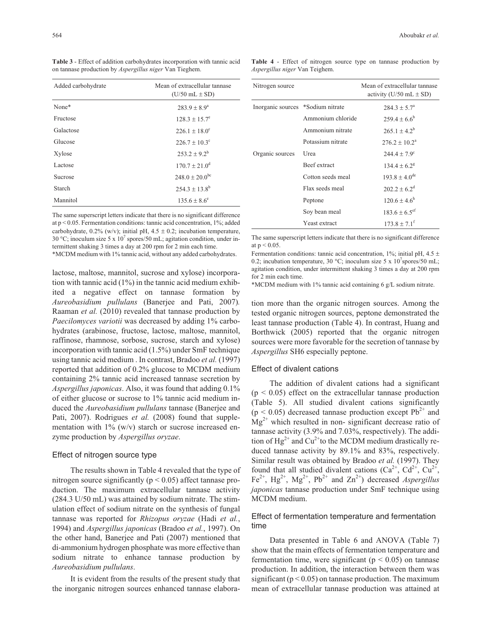**Table 3** - Effect of addition carbohydrates incorporation with tannic acid on tannase production by *Aspergillus niger* Van Tieghem.

| Added carbohydrate | Mean of extracellular tannase<br>$(U/50$ mL $\pm$ SD) |  |
|--------------------|-------------------------------------------------------|--|
| None*              | $283.9 + 8.9^a$                                       |  |
| Fructose           | $128.3 + 15.7^{\circ}$                                |  |
| Galactose          | $226.1 + 18.0^{\circ}$                                |  |
| Glucose            | $226.7 + 10.3^{\circ}$                                |  |
| Xylose             | $253.2 \pm 9.2^b$                                     |  |
| Lactose            | $170.7 \pm 21.0^{\circ}$                              |  |
| Sucrose            | $248.0 \pm 20.0^{\rm bc}$                             |  |
| Starch             | $254.3 + 13.8^b$                                      |  |
| Mannitol           | $135.6 + 8.6^{\circ}$                                 |  |

The same superscript letters indicate that there is no significant difference at  $p < 0.05$ . Fermentation conditions: tannic acid concentration,  $1\%$ ; added carbohydrate,  $0.2\%$  (w/v); initial pH,  $4.5 \pm 0.2$ ; incubation temperature, 30 °C; inoculum size 5 x  $10^7$  spores/50 mL; agitation condition, under intermittent shaking 3 times a day at 200 rpm for 2 min each time.

\*MCDM medium with 1% tannic acid, without any added carbohydrates.

lactose, maltose, mannitol, sucrose and xylose) incorporation with tannic acid (1%) in the tannic acid medium exhibited a negative effect on tannase formation by *Aureobasidium pullulans* (Banerjee and Pati, 2007)*.* Raaman *et al.* (2010) revealed that tannase production by *Paecilomyces variotii* was decreased by adding 1% carbohydrates (arabinose, fructose, lactose, maltose, mannitol, raffinose, rhamnose, sorbose, sucrose, starch and xylose) incorporation with tannic acid (1.5%) under SmF technique using tannic acid medium . In contrast, Bradoo *et al.* (1997) reported that addition of 0.2% glucose to MCDM medium containing 2% tannic acid increased tannase secretion by *Aspergillus japonicas*. Also, it was found that adding 0.1% of either glucose or sucrose to 1% tannic acid medium induced the *Aureobasidium pullulans* tannase (Banerjee and Pati, 2007). Rodrigues *et al.* (2008) found that supplementation with  $1\%$  (w/v) starch or sucrose increased enzyme production by *Aspergillus oryzae*.

## Effect of nitrogen source type

The results shown in Table 4 revealed that the type of nitrogen source significantly ( $p < 0.05$ ) affect tannase production. The maximum extracellular tannase activity (284.3 U/50 mL) was attained by sodium nitrate. The stimulation effect of sodium nitrate on the synthesis of fungal tannase was reported for *Rhizopus oryzae* (Hadi *et al.*, 1994) and *Aspergillus japonicas* (Bradoo *et al.*, 1997). On the other hand, Banerjee and Pati (2007) mentioned that di-ammonium hydrogen phosphate was more effective than sodium nitrate to enhance tannase production by *Aureobasidium pullulans*.

It is evident from the results of the present study that the inorganic nitrogen sources enhanced tannase elabora-

**Table 4** - Effect of nitrogen source type on tannase production by *Aspergillus niger* Van Teighem.

| Nitrogen source                   |                     | Mean of extracellular tannase<br>activity (U/50 mL $\pm$ SD) |
|-----------------------------------|---------------------|--------------------------------------------------------------|
| Inorganic sources *Sodium nitrate |                     | $284.3 + 5.7^{\circ}$                                        |
|                                   | Ammonium chloride   | $259.4 + 6.6^b$                                              |
|                                   | Ammonium nitrate    | $265.1 + 4.2^b$                                              |
|                                   | Potassium nitrate   | $276.2 \pm 10.2^a$                                           |
| Organic sources                   | Urea                | $244.4 + 7.9^{\circ}$                                        |
|                                   | <b>Beef</b> extract | $134.4 + 6.2^8$                                              |
|                                   | Cotton seeds meal   | $193.8 + 4.0^{\text{de}}$                                    |
|                                   | Flax seeds meal     | $202.2 + 6.2^d$                                              |
|                                   | Peptone             | $120.6 \pm 4.6^{\rm h}$                                      |
|                                   | Soy bean meal       | $183.6 \pm 6.5$ <sup>ef</sup>                                |
|                                   | Yeast extract       | $173.8 + 7.1^{\text{f}}$                                     |

The same superscript letters indicate that there is no significant difference at  $p < 0.05$ .

Fermentation conditions: tannic acid concentration, 1%; initial pH, 4.5  $\pm$ 0.2; incubation temperature, 30 °C; inoculum size 5 x  $10<sup>7</sup>$  spores/50 mL; agitation condition, under intermittent shaking 3 times a day at 200 rpm for 2 min each time.

\*MCDM medium with 1% tannic acid containing 6 g/L sodium nitrate.

tion more than the organic nitrogen sources. Among the tested organic nitrogen sources, peptone demonstrated the least tannase production (Table 4). In contrast, Huang and Borthwick (2005) reported that the organic nitrogen sources were more favorable for the secretion of tannase by *Aspergillus* SH6 especially peptone.

#### Effect of divalent cations

The addition of divalent cations had a significant  $(p < 0.05)$  effect on the extracellular tannase production (Table 5). All studied divalent cations significantly  $(p < 0.05)$  decreased tannase production except Pb<sup>2+</sup> and  $Mg^{2+}$  which resulted in non- significant decrease ratio of tannase activity (3.9% and 7.03%, respectively). The addition of  $Hg^{2+}$  and Cu<sup>2+</sup>to the MCDM medium drastically reduced tannase activity by 89.1% and 83%, respectively. Similar result was obtained by Bradoo *et al.* (1997). They found that all studied divalent cations  $(Ca^{2+}, Cd^{2+}, Cu^{2+},$ Fe<sup>2+</sup>, Hg<sup>2+</sup>, Mg<sup>2+</sup>, Pb<sup>2+</sup> and Zn<sup>2+</sup>) decreased *Aspergillus japonicas* tannase production under SmF technique using MCDM medium.

## Effect of fermentation temperature and fermentation time

Data presented in Table 6 and ANOVA (Table 7) show that the main effects of fermentation temperature and fermentation time, were significant ( $p < 0.05$ ) on tannase production. In addition, the interaction between them was significant ( $p < 0.05$ ) on tannase production. The maximum mean of extracellular tannase production was attained at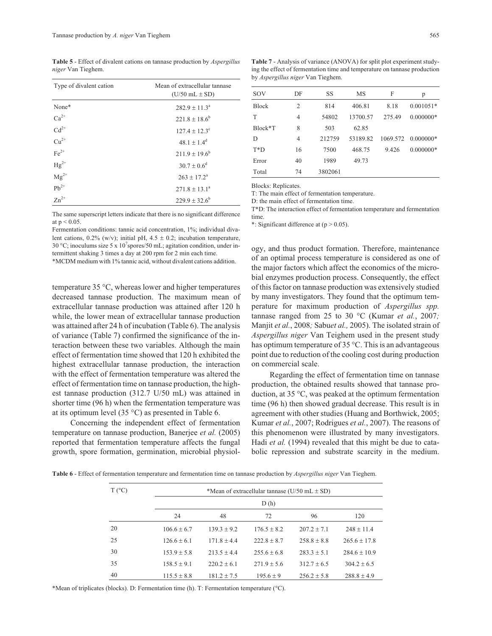**Table 5** - Effect of divalent cations on tannase production by *Aspergillus niger* Van Tieghem.

| Type of divalent cation                | Mean of extracellular tannase<br>$(U/50$ mL $\pm$ SD) |  |  |
|----------------------------------------|-------------------------------------------------------|--|--|
| None*                                  | $282.9 + 11.3a$                                       |  |  |
| $Ca^{2+}$                              | $221.8 \pm 18.6^b$                                    |  |  |
| $Cd^{2+}$                              | $127.4 \pm 12.3$ <sup>c</sup>                         |  |  |
| $Cu^{2+}$                              | $48.1 + 1.4^d$                                        |  |  |
| $Fe2+$                                 | $211.9 \pm 19.6^b$                                    |  |  |
| $\mathrm{Hg}^{2+}$                     | $30.7 + 0.6^d$                                        |  |  |
| $\mathbf{Mg}^{2+}$<br>Pb <sup>2+</sup> | $263 \pm 17.2^a$                                      |  |  |
|                                        | $271.8 + 13.1^a$                                      |  |  |
| $Zn^{2+}$                              | $229.9 \pm 32.6^b$                                    |  |  |

The same superscript letters indicate that there is no significant difference at  $p < 0.05$ .

Fermentation conditions: tannic acid concentration, 1%; individual divalent cations,  $0.2\%$  (w/v); initial pH,  $4.5 \pm 0.2$ ; incubation temperature, 30 °C; inoculums size 5 x 10<sup>7</sup> spores/50 mL; agitation condition, under intermittent shaking 3 times a day at 200 rpm for 2 min each time.

\*MCDM medium with 1% tannic acid, without divalent cations addition.

temperature 35 °C, whereas lower and higher temperatures decreased tannase production. The maximum mean of extracellular tannase production was attained after 120 h while, the lower mean of extracellular tannase production was attained after 24 h of incubation (Table 6). The analysis of variance (Table 7) confirmed the significance of the interaction between these two variables. Although the main effect of fermentation time showed that 120 h exhibited the highest extracellular tannase production, the interaction with the effect of fermentation temperature was altered the effect of fermentation time on tannase production, the highest tannase production (312.7 U/50 mL) was attained in shorter time (96 h) when the fermentation temperature was at its optimum level  $(35 \degree C)$  as presented in Table 6.

Concerning the independent effect of fermentation temperature on tannase production, Banerjee *et al.* (2005) reported that fermentation temperature affects the fungal growth, spore formation, germination, microbial physiol-

**Table 7** - Analysis of variance (ANOVA) for split plot experiment studying the effect of fermentation time and temperature on tannase production by *Aspergillus niger* Van Tieghem.

| SOV          | DF             | SS      | MS       | F      | p                  |
|--------------|----------------|---------|----------|--------|--------------------|
| <b>Block</b> | $\overline{2}$ | 814     | 406.81   | 8.18   | $0.001051*$        |
| T            | $\overline{4}$ | 54802   | 13700.57 | 275.49 | $0.000000*$        |
| Block*T      | 8              | 503     | 62.85    |        |                    |
| D            | 4              | 212759  | 53189.82 |        | 1069.572 0.000000* |
| $T^*D$       | 16             | 7500    | 468.75   | 9.426  | $0.000000*$        |
| Error        | 40             | 1989    | 49.73    |        |                    |
| Total        | 74             | 3802061 |          |        |                    |
|              |                |         |          |        |                    |

Blocks: Replicates.

T: The main effect of fermentation temperature.

D: the main effect of fermentation time.

T\*D: The interaction effect of fermentation temperature and fermentation time.

\*: Significant difference at  $(p > 0.05)$ .

ogy, and thus product formation. Therefore, maintenance of an optimal process temperature is considered as one of the major factors which affect the economics of the microbial enzymes production process. Consequently, the effect of this factor on tannase production was extensively studied by many investigators. They found that the optimum temperature for maximum production of *Aspergillus spp.* tannase ranged from 25 to 30 °C (Kumar *et al.*, 2007*;* Manjit *et al.*, 2008*;* Sabu*et al.,* 2005). The isolated strain of *Aspergillus niger* Van Teighem used in the present study has optimum temperature of 35 °C. This is an advantageous point due to reduction of the cooling cost during production on commercial scale.

Regarding the effect of fermentation time on tannase production, the obtained results showed that tannase production, at 35 °C, was peaked at the optimum fermentation time (96 h) then showed gradual decrease. This result is in agreement with other studies (Huang and Borthwick, 2005; Kumar *et al.*, 2007; Rodrigues *et al.*, 2007). The reasons of this phenomenon were illustrated by many investigators. Hadi *et al.* (1994) revealed that this might be due to catabolic repression and substrate scarcity in the medium.

**Table 6** - Effect of fermentation temperature and fermentation time on tannase production by *Aspergillus niger* Van Tieghem.

| $T(^{\circ}C)$ |                 | *Mean of extracellular tannase ( $U/50$ mL $\pm$ SD) |                 |               |                  |
|----------------|-----------------|------------------------------------------------------|-----------------|---------------|------------------|
|                | D(h)            |                                                      |                 |               |                  |
|                | 24              | 48                                                   | 72              | 96            | 120              |
| 20             | $106.6 + 6.7$   | $139.3 + 9.2$                                        | $176.5 + 8.2$   | $207.2 + 7.1$ | $248 + 11.4$     |
| 25             | $126.6 \pm 6.1$ | $171.8 + 4.4$                                        | $222.8 + 8.7$   | $258.8 + 8.8$ | $265.6 + 17.8$   |
| 30             | $153.9 + 5.8$   | $213.5 + 4.4$                                        | $255.6 + 6.8$   | $283.3 + 5.1$ | $284.6 \pm 10.9$ |
| 35             | $158.5 + 9.1$   | $220.2 + 6.1$                                        | $271.9 \pm 5.6$ | $312.7 + 6.5$ | $304.2 + 6.5$    |
| 40             | $115.5 + 8.8$   | $181.2 + 7.5$                                        | $195.6 + 9$     | $256.2 + 5.8$ | $288.8 + 4.9$    |

\*Mean of triplicates (blocks). D: Fermentation time (h). T: Fermentation temperature (°C).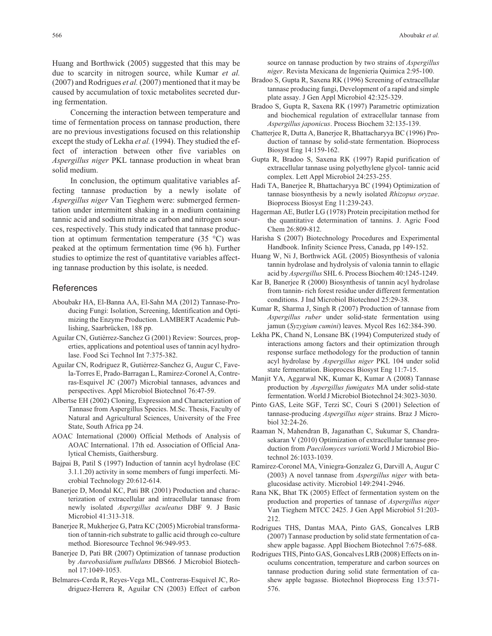Huang and Borthwick (2005) suggested that this may be due to scarcity in nitrogen source, while Kumar *et al.* (2007) and Rodrigues *et al.* (2007) mentioned that it may be caused by accumulation of toxic metabolites secreted during fermentation.

Concerning the interaction between temperature and time of fermentation process on tannase production, there are no previous investigations focused on this relationship except the study of Lekha *et al.* (1994). They studied the effect of interaction between other five variables on *Aspergillus niger* PKL tannase production in wheat bran solid medium.

In conclusion, the optimum qualitative variables affecting tannase production by a newly isolate of *Aspergillus niger* Van Tieghem were: submerged fermentation under intermittent shaking in a medium containing tannic acid and sodium nitrate as carbon and nitrogen sources, respectively. This study indicated that tannase production at optimum fermentation temperature  $(35 \text{ °C})$  was peaked at the optimum fermentation time (96 h). Further studies to optimize the rest of quantitative variables affecting tannase production by this isolate, is needed.

#### References

- Aboubakr HA, El-Banna AA, El-Sahn MA (2012) Tannase-Producing Fungi: Isolation, Screening, Identification and Optimizing the Enzyme Production. LAMBERT Academic Publishing, Saarbrücken, 188 pp.
- Aguilar CN, Gutiérrez-Sanchez G (2001) Review: Sources, properties, applications and potentioal uses of tannin acyl hydrolase. Food Sci Technol Int 7:375-382.
- Aguilar CN, Rodriguez R, Gutiérrez-Sanchez G, Augur C, Favela-Torres E, Prado-Barragan L, Ramirez-Coronel A, Contreras-Esquivel JC (2007) Microbial tannases, advances and perspectives. Appl Microbiol Biotechnol 76:47-59.
- Albertse EH (2002) Cloning, Expression and Characterization of Tannase from Aspergillus Species. M.Sc. Thesis, Faculty of Natural and Agricultural Sciences, University of the Free State, South Africa pp 24.
- AOAC International (2000) Official Methods of Analysis of AOAC International. 17th ed. Association of Official Analytical Chemists, Gaithersburg.
- Bajpai B, Patil S (1997) Induction of tannin acyl hydrolase (EC 3.1.1.20) activity in some members of fungi imperfecti. Microbial Technology 20:612-614.
- Banerjee D, Mondal KC, Pati BR (2001) Production and characterization of extracellular and intracellular tannase from newly isolated *Aspergillus aculeatus* DBF 9. J Basic Microbiol 41:313-318.
- Banerjee R, Mukherjee G, Patra KC (2005) Microbial transformation of tannin-rich substrate to gallic acid through co-culture method. Bioresource Technol 96:949-953.
- Banerjee D, Pati BR (2007) Optimization of tannase production by *Aureobasidium pullulans* DBS66*.* J Microbiol Biotechnol 17:1049-1053.
- Belmares-Cerda R, Reyes-Vega ML, Contreras-Esquivel JC, Rodriguez-Herrera R, Aguilar CN (2003) Effect of carbon

source on tannase production by two strains of *Aspergillus niger*. Revista Mexicana de Ingenieria Quimica 2:95-100.

- Bradoo S, Gupta R, Saxena RK (1996) Screening of extracellular tannase producing fungi, Development of a rapid and simple plate assay. J Gen Appl Microbiol 42:325-329.
- Bradoo S, Gupta R, Saxena RK (1997) Parametric optimization and biochemical regulation of extracellular tannase from *Aspergillus japonicus*. Process Biochem 32:135-139.
- Chatterjee R, Dutta A, Banerjee R, Bhattacharyya BC (1996) Production of tannase by solid-state fermentation. Bioprocess Biosyst Eng 14:159-162.
- Gupta R, Bradoo S, Saxena RK (1997) Rapid purification of extracellular tannase using polyethylene glycol- tannic acid complex. Lett Appl Microbiol 24:253-255.
- Hadi TA, Banerjee R, Bhattacharyya BC (1994) Optimization of tannase biosynthesis by a newly isolated *Rhizopus oryzae*. Bioprocess Biosyst Eng 11:239-243.
- Hagerman AE, Butler LG (1978) Protein precipitation method for the quantitative determination of tannins. J. Agric Food Chem 26:809-812.
- Harisha S (2007) Biotechnology Procedures and Experimental Handbook. Infinity Science Press, Canada, pp 149-152.
- Huang W, Ni J, Borthwick AGL (2005) Biosynthesis of valonia tannin hydrolase and hydrolysis of valonia tannin to ellagic acid by *Aspergillus* SHL 6. Process Biochem 40:1245-1249.
- Kar B, Banerjee R (2000) Biosynthesis of tannin acyl hydrolase from tannin- rich forest residue under different fermentation conditions. J Ind Microbiol Biotechnol 25:29-38.
- Kumar R, Sharma J, Singh R (2007) Production of tannase from *Aspergillus ruber* under solid-state fermentation using jamun (*Syzygium cumini*) leaves. Mycol Res 162:384-390.
- Lekha PK, Chand N, Lonsane BK (1994) Computerized study of interactions among factors and their optimization through response surface methodology for the production of tannin acyl hydrolase by *Aspergillus niger* PKL 104 under solid state fermentation. Bioprocess Biosyst Eng 11:7-15.
- Manjit YA, Aggarwal NK, Kumar K, Kumar A (2008) Tannase production by *Aspergillus fumigates* MA under solid-state fermentation. World J Microbiol Biotechnol 24:3023-3030.
- Pinto GAS, Leite SGF, Terzi SC, Couri S (2001) Selection of tannase-producing *Aspergillus niger* strains. Braz J Microbiol 32:24-26.
- Raaman N, Mahendran B, Jaganathan C, Sukumar S, Chandrasekaran V (2010) Optimization of extracellular tannase production from *Paecilomyces variotii.*World J Microbiol Biotechnol 26:1033-1039.
- Ramirez-Coronel MA, Viniegra-Gonzalez G, Darvill A, Augur C (2003) A novel tannase from *Aspergillus niger* with betaglucosidase activity. Microbiol 149:2941-2946.
- Rana NK, Bhat TK (2005) Effect of fermentation system on the production and properties of tannase of *Aspergillus niger* Van Tieghem MTCC 2425. J Gen Appl Microbiol 51:203- 212.
- Rodrigues THS, Dantas MAA, Pinto GAS, Goncalves LRB (2007) Tannase production by solid state fermentation of cashew apple bagasse. Appl Biochem Biotechnol 7:675-688.
- Rodrigues THS, Pinto GAS, Goncalves LRB (2008) Effects on inoculums concentration, temperature and carbon sources on tannase production during solid state fermentation of cashew apple bagasse. Biotechnol Bioprocess Eng 13:571- 576.